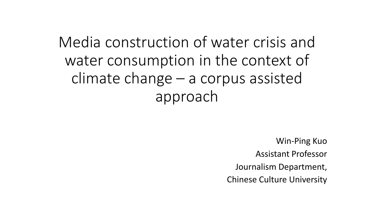Media construction of water crisis and water consumption in the context of climate change – a corpus assisted approach

> Win-Ping Kuo Assistant Professor Journalism Department, Chinese Culture University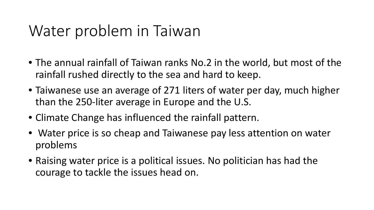### Water problem in Taiwan

- The annual rainfall of Taiwan ranks No.2 in the world, but most of the rainfall rushed directly to the sea and hard to keep.
- Taiwanese use an average of 271 liters of water per day, much higher than the 250-liter average in Europe and the U.S.
- Climate Change has influenced the rainfall pattern.
- Water price is so cheap and Taiwanese pay less attention on water problems
- Raising water price is a political issues. No politician has had the courage to tackle the issues head on.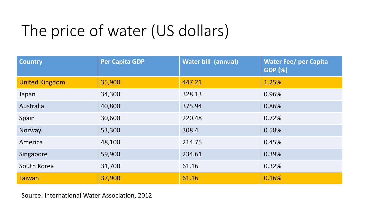# The price of water (US dollars)

| <b>Country</b>        | <b>Per Capita GDP</b> | <b>Water bill (annual)</b> | <b>Water Fee/ per Capita</b><br><b>GDP (%)</b> |
|-----------------------|-----------------------|----------------------------|------------------------------------------------|
| <b>United Kingdom</b> | 35,900                | 447.21                     | 1.25%                                          |
| Japan                 | 34,300                | 328.13                     | 0.96%                                          |
| Australia             | 40,800                | 375.94                     | 0.86%                                          |
| Spain                 | 30,600                | 220.48                     | 0.72%                                          |
| Norway                | 53,300                | 308.4                      | 0.58%                                          |
| America               | 48,100                | 214.75                     | 0.45%                                          |
| Singapore             | 59,900                | 234.61                     | 0.39%                                          |
| South Korea           | 31,700                | 61.16                      | 0.32%                                          |
| <b>Taiwan</b>         | 37,900                | 61.16                      | 0.16%                                          |

Source: International Water Association, 2012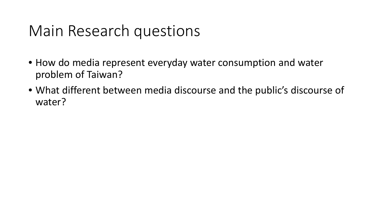### Main Research questions

- How do media represent everyday water consumption and water problem of Taiwan?
- What different between media discourse and the public's discourse of water?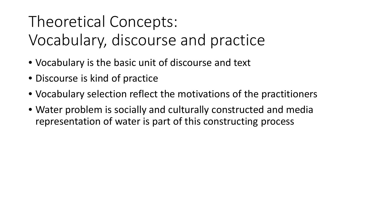## Theoretical Concepts:

Vocabulary, discourse and practice

- Vocabulary is the basic unit of discourse and text
- Discourse is kind of practice
- Vocabulary selection reflect the motivations of the practitioners
- Water problem is socially and culturally constructed and media representation of water is part of this constructing process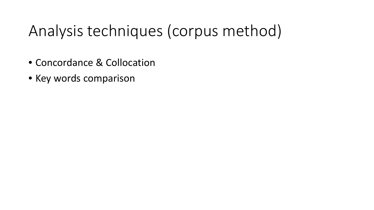## Analysis techniques (corpus method)

- Concordance & Collocation
- Key words comparison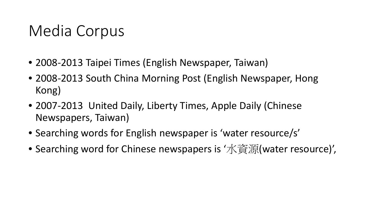## Media Corpus

- 2008-2013 Taipei Times (English Newspaper, Taiwan)
- 2008-2013 South China Morning Post (English Newspaper, Hong Kong)
- 2007-2013 United Daily, Liberty Times, Apple Daily (Chinese Newspapers, Taiwan)
- Searching words for English newspaper is 'water resource/s'
- Searching word for Chinese newspapers is '水資源(water resource)',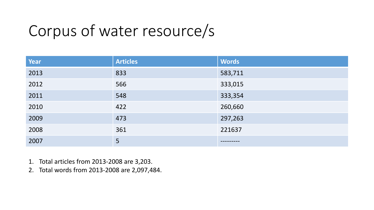## Corpus of water resource/s

| <b>Year</b> | <b>Articles</b> | <b>Words</b> |
|-------------|-----------------|--------------|
| 2013        | 833             | 583,711      |
| 2012        | 566             | 333,015      |
| 2011        | 548             | 333,354      |
| 2010        | 422             | 260,660      |
| 2009        | 473             | 297,263      |
| 2008        | 361             | 221637       |
| 2007        | 5               |              |

- 1. Total articles from 2013-2008 are 3,203.
- 2. Total words from 2013-2008 are 2,097,484.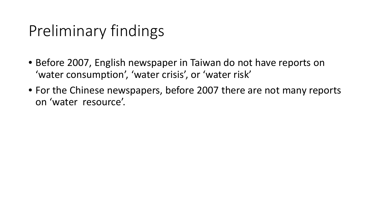## Preliminary findings

- Before 2007, English newspaper in Taiwan do not have reports on 'water consumption', 'water crisis', or 'water risk'
- For the Chinese newspapers, before 2007 there are not many reports on 'water resource'.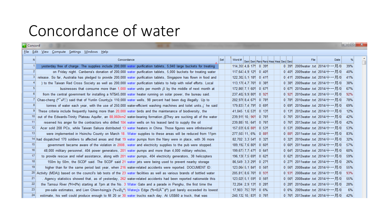### Concordance of water

| <b>Concord</b> |                                                                                                                                                      |  |             |  |  |                                                                                                              |     |                        |  |                                   |         |                                   |      | $\mathbf{x}$<br>o e |
|----------------|------------------------------------------------------------------------------------------------------------------------------------------------------|--|-------------|--|--|--------------------------------------------------------------------------------------------------------------|-----|------------------------|--|-----------------------------------|---------|-----------------------------------|------|---------------------|
|                | File Edit View Compute Settings Windows Help                                                                                                         |  |             |  |  |                                                                                                              |     |                        |  |                                   |         |                                   |      |                     |
| Ν              |                                                                                                                                                      |  | Concordance |  |  |                                                                                                              | Set | Word #                 |  | Sen Sen Para Para Hea Hea Sec Sec |         | File                              | Date | %                   |
|                | yesterday free of charge. The supplies include 200,000 water purification tablets, 5,040 large buckets for treating                                  |  |             |  |  |                                                                                                              |     | 114.355 4.8 179 0 399  |  |                                   |         | 0 39 2009 water .txt 2014/十一月/0   |      | 39%                 |
| $\overline{2}$ |                                                                                                                                                      |  |             |  |  | on Friday night. Canberra's donation of 200,000 water purification tablets, 5,000 buckets for treating water |     | $117,6474,9$ 129 0 409 |  |                                   |         | 0 40 2009 water .txt 2014/十一月/0   |      | 40%                 |
|                | release. So far, Australia has pledged to provide 200,000 water purification tablets, Singapore has flown in food and                                |  |             |  |  |                                                                                                              |     | 122,302 5,1 189 0 419  |  |                                   |         | 0 419 2009 water .txt 2014/十一月/0  |      | 41%                 |
|                | ) to the Taiwan Red Cross Society as well as 200,000 water purification tablets to help with relief efforts. Local                                   |  |             |  |  |                                                                                                              |     | 113.178 4.7 769 0 389  |  |                                   |         | 0 389 2009water .txt 2014/十一月/0   |      | 38%                 |
| 5 <sub>1</sub> |                                                                                                                                                      |  |             |  |  | businesses that consume more than 1,000 water units per month iX by the middle of next month at              |     | 172,869 7,1 609 0 679  |  |                                   |         | 0 67 2010 water .txt 2014/十一月/0   |      | 67%                 |
|                | from the central government for installing a NT\$45,000 water heater running on solar power, the bureau said.                                        |  |             |  |  |                                                                                                              |     | 237,402 9,9 809 0 929  |  |                                   |         | 0 92 2010 water .txt 2014/十一月/0   |      | 92%                 |
|                | Chao-cheng ( <sup>8</sup> <sub>»</sub> F[') said that of Yunlin County <sub>i</sub> ls 110,000 water wells, 98 percent had been dug illegally. Up to |  |             |  |  |                                                                                                              |     | 202,976 8,4 679 0 789  |  |                                   |         | 0 789 2010 water .txt 2014/十一月/0  |      | 78%                 |
| 8              | tonnes of water each year, with the use of 250,000 water-efficient washing machines and toilet units, i he said                                      |  |             |  |  |                                                                                                              |     | 179,837 7,4 799 0 699  |  |                                   |         | 0 69 2010 water .txt 2014/十一月/0   |      | 69%                 |
|                | These criteria include frequently having more than 20,000 water birds and the maintenance of biodiversity, the                                       |  |             |  |  |                                                                                                              |     | 41,045 1,6 539 0 139   |  |                                   |         | 0 139 2012 water .txt 2014/十一月/0  |      | 12%                 |
| 10             | out of the Edwards-Trinity Plateau Aquifer, an 88,060km2 water-bearing formation. §They are sucking all of the water                                 |  |             |  |  |                                                                                                              |     | 239,919 10, 969 0 769  |  |                                   |         | 0 769 2013 water .txt 2014/十一月/0  |      | 42%                 |
| 11             | reserved his anger for the contractors who drilled 104 water wells on his leased land to supply the oil                                              |  |             |  |  |                                                                                                              |     | 239,887 10, 649 0 769  |  |                                   |         | 0 76 9 2013 water .txt 2014/十一月/0 |      | 42%                 |
| 12             | Acer sold 208 PCs, while Taiwan Sakura distributed 13 water heaters in China. Those figures were infinitesimal                                       |  |             |  |  |                                                                                                              |     | 157,0396,688905339     |  |                                   |         | 0 53 2009 water .txt 2014/十一月/0   |      | 53%                 |
| 13             | were implemented in Hsinchu County on March 18. Water supplies to these areas will be reduced from 11pm                                              |  |             |  |  |                                                                                                              |     | 277,507 11, 6% 0 889   |  |                                   |         | 0 88 2011 water .txt 2014/十一月/0   |      | 83%                 |
|                | 14 had dispatched 170 soldiers to affected areas and that 19 water pumps from the Navy were in place, with 36 more                                   |  |             |  |  |                                                                                                              |     | 82,702 3,3 549 0 329   |  |                                   |         | 0 32 2010 water .txt 2014/十一月/0   |      | 32%                 |
| 15             | government became aware of the violation in 2008, water and electricity supplies to the pub were stopped.                                            |  |             |  |  |                                                                                                              |     | 189.192 7.6 809 0 609  |  |                                   |         | 0 60 2011 water .txt 2014/十一月/0   |      | 57%                 |
| 16             | 48,000 military personnel, 404 power generators, 201 water pumps and more than 4,000 military vehicles,                                              |  |             |  |  |                                                                                                              |     | 199,677 7,7 479 0 649  |  |                                   |         | 0 64 2012 water .txt 2014/十一月/0   |      | 60%                 |
| 17             | to provide rescue and relief assistance, along with 201 water pumps, 404 electricity generators, 38 helicopters                                      |  |             |  |  |                                                                                                              |     | 196,138 7,5 699 0 629  |  |                                   |         | 0 62 2012 water .txt 2014/十一月/0   |      | 59%                 |
| 18             | 150m by 50m, the SCDF said. The SCDF said 21 water jets were being used to prevent nearby storage                                                    |  |             |  |  |                                                                                                              |     | 86,549 3,3 299 0 279   |  |                                   |         | 0 279 2011 water .txt 2014/十一月/0  |      | 26%                 |
| 19             | higher than for the same period last year, when 216 water-related accidents were reported. DOCUMENT ID:                                              |  |             |  |  |                                                                                                              |     | 123,064 5,1 849 0 569  |  |                                   |         | 0 56 2008 water .txt 2014/十一月/0   |      | 55%                 |
|                | <sup>20</sup> Activity (MDA)) based on the council's lab tests of the 23 water facilities as well as various brands of bottled water                 |  |             |  |  |                                                                                                              |     | 205,813 8,6 769 0 939  |  |                                   | 0   939 | 2008water .txt 2014/十一月/0         |      | 93%                 |
| 21             | Agency statistics showed that, as of yesterday, 262 water-related accidents had been reported nationwide this                                        |  |             |  |  |                                                                                                              |     | 123,029 5,1 599 0 569  |  |                                   |         | 0 56 2008 water .txt 2014/十一月/0   |      | 55%                 |
| -22            | the Tamsui River ("H¤ô*e) starting at 7pm at the No. 3 Water Gate and a parade in Penghu, the first time the                                         |  |             |  |  |                                                                                                              |     | 72,204 2,9 139 0 289   |  |                                   |         | 0 28 2010 water .txt 2014/十一月/0   |      | 28%                 |
| 23             | pre-sale estimates, and Lien Chien-hsing; $s \ll 0$ <sup>3</sup> Water; Sequel ( $2b \ll 0$ ) and $\ln b$ iust barely exceeded its lowest            |  |             |  |  |                                                                                                              |     | 17,903 753 709 0 6%    |  |                                   |         | 0 6% 2009water .txt 2014/十一月/0    |      | 6%                  |
| 24             | estimate, his well could produce enough to fill 20 or 30 water trucks each day. At US\$60 a truck, that was                                          |  |             |  |  |                                                                                                              |     | 240, 132 10, 839 0 769 |  |                                   |         | 0 76 2013 water .txt 2014/十一月/0   |      | 42%                 |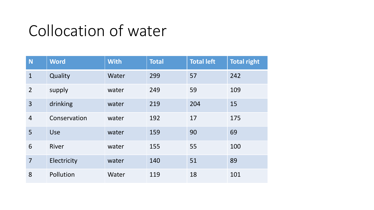### Collocation of water

| N              | <b>Word</b>  | <b>With</b> | <b>Total</b> | <b>Total left</b> | <b>Total right</b> |
|----------------|--------------|-------------|--------------|-------------------|--------------------|
| $\mathbf{1}$   | Quality      | Water       | 299          | 57                | 242                |
| $\overline{2}$ | supply       | water       | 249          | 59                | 109                |
| 3              | drinking     | water       | 219          | 204               | 15                 |
| $\overline{4}$ | Conservation | water       | 192          | 17                | 175                |
| 5              | <b>Use</b>   | water       | 159          | 90                | 69                 |
| 6              | River        | water       | 155          | 55                | 100                |
| $\overline{7}$ | Electricity  | water       | 140          | 51                | 89                 |
| 8              | Pollution    | Water       | 119          | 18                | 101                |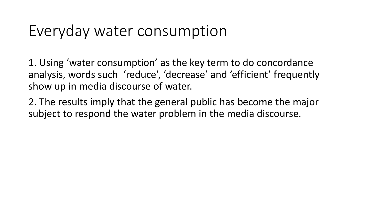#### Everyday water consumption

1. Using 'water consumption' as the key term to do concordance analysis, words such 'reduce', 'decrease' and 'efficient' frequently show up in media discourse of water.

2. The results imply that the general public has become the major subject to respond the water problem in the media discourse.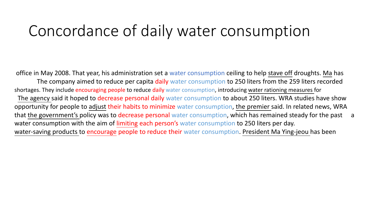#### Concordance of daily water consumption

office in May 2008. That year, his administration set a water consumption ceiling to help stave off droughts. Ma has The company aimed to reduce per capita daily water consumption to 250 liters from the 259 liters recorded shortages. They include encouraging people to reduce daily water consumption, introducing water rationing measures for The agency said it hoped to decrease personal daily water consumption to about 250 liters. WRA studies have show opportunity for people to adjust their habits to minimize water consumption, the premier said. In related news, WRA that the government's policy was to decrease personal water consumption, which has remained steady for the past a water consumption with the aim of limiting each person's water consumption to 250 liters per day. water-saving products to encourage people to reduce their water consumption. President Ma Ying-jeou has been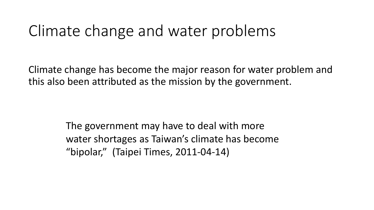#### Climate change and water problems

Climate change has become the major reason for water problem and this also been attributed as the mission by the government.

> The government may have to deal with more water shortages as Taiwan's climate has become "bipolar," (Taipei Times, 2011-04-14)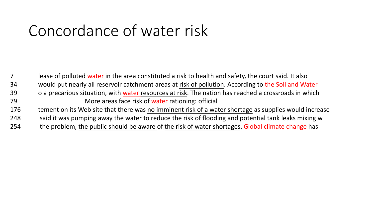### Concordance of water risk

7 lease of polluted water in the area constituted a risk to health and safety, the court said. It also 34 would put nearly all reservoir catchment areas at risk of pollution. According to the Soil and Water 39 o a precarious situation, with water resources at risk. The nation has reached a crossroads in which 79 More areas face risk of water rationing: official 176 tement on its Web site that there was no imminent risk of a water shortage as supplies would increase 248 said it was pumping away the water to reduce the risk of flooding and potential tank leaks mixing w 254 the problem, the public should be aware of the risk of water shortages. Global climate change has